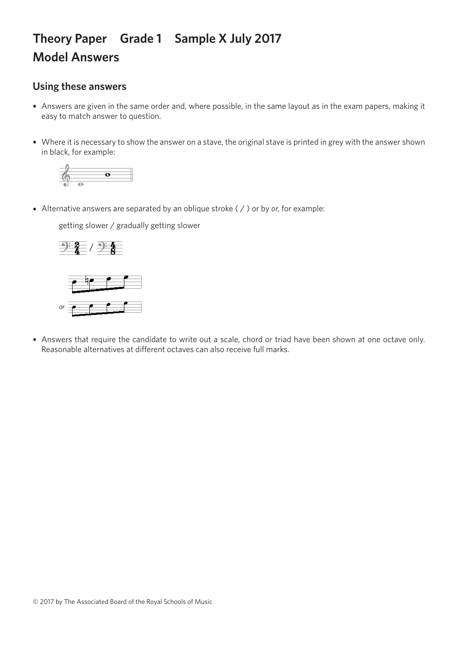## **Theory Paper Grade 1 Sample X July 2017 Model Answers**

## **Using these answers**

- Answers are given in the same order and, where possible, in the same layout as in the exam papers, making it easy to match answer to question.
- Where it is necessary to show the answer on a stave, the original stave is printed in grey with the answer shown in black, for example:



• Alternative answers are separated by an oblique stroke ( / ) or by *or*, for example:

getting slower / gradually getting slower getting slower / gradually getting slower getting slower / gradually getting slower



*or or*

• Answers that require the candidate to write out a scale, chord or triad have been shown at one octave only. Reasonable alternatives at different octaves can also receive full marks.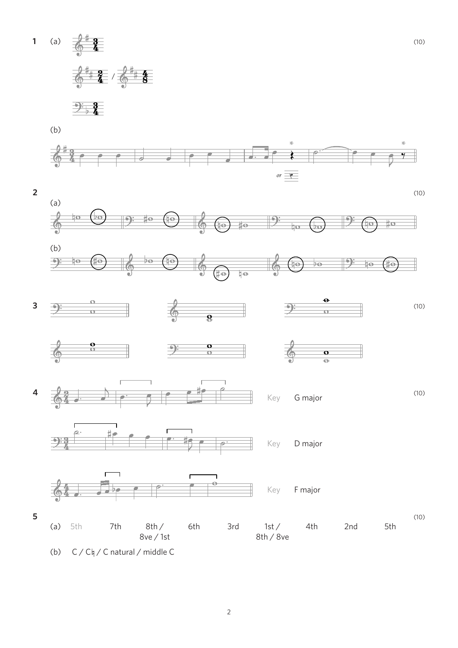